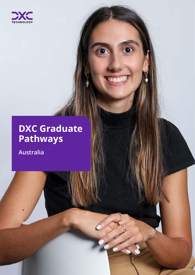

# **DXC Graduate Pathways**

**Australia**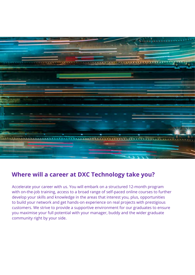

## **Where will a career at DXC Technology take you?**

Accelerate your career with us. You will embark on a structured 12-month program with on-the-job training, access to a broad range of self-paced online courses to further develop your skills and knowledge in the areas that interest you, plus, opportunities to build your network and get hands-on experience on real projects with prestigious customers. We strive to provide a supportive environment for our graduates to ensure you maximise your full potential with your manager, buddy and the wider graduate community right by your side.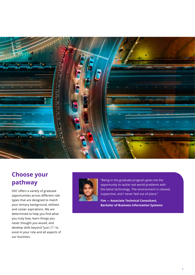

# **Choose your pathway**

DXC offers a variety of graduate opportunities across different role types that are designed to match your tertiary background, skillsets and career aspirations. We are determined to help you find what you truly love, learn things you never thought you would, and develop skills beyond "just I.T." to excel in your role and all aspects of our business.



"Being in the graduate program gives me the opportunity to tackle real world problems with the latest technology. The environment is relaxed, supportive, and I never feel out of place."

**Fim — Associate Technical Consultant, Bachelor of Business Information Systems**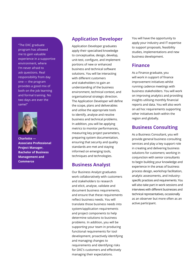program has allowed me to gain valuable experience in a supportive environment, where I'm never afraid to ask questions. Real responsibility from day one — the program provides a good mix of

"The DXC graduate

both on the job learning and formal training. No two days are ever the same!"



**Charlotte — Associate Professional Project Manager, Bachelor of Business Management and Commerce**

#### **Application Developer**

Application Developer graduates apply their specialised knowledge to conceptualise, design, develop, unit-test, configure, and implement portions of new or enhanced business and technical software solutions. You will be interacting with different customers and stakeholders to gain an understanding of the business environment, technical context, and organisational strategic direction. The Application Developer will define the scope, plans and deliverables and utilise the appropriate tools to identify, analyse and resolve business and technical problems. In addition, you will be applying metrics to monitor performances, measuring key project parameters, preparing system documentation, ensuring that security and quality standards are met and staying informed on emerging tools, techniques and technologies.

#### **Business Analyst**

Our Business Analyst graduates work collaboratively with customers and stakeholders to research and elicit, analyse, validate and document business requirements, and ensure that these requirements reflect business needs. You will translate those business needs into system/application requirements and project components to help determine solutions to business problems. In addition, you will be supporting your team in producing functional requirements for tool development, proactively identifying and managing changes to requirements and identifying risks for DXC's customers and effectively managing their expectations.

You will have the opportunity to apply your industry and IT expertise to support proposals, feasibility studies, implementations and new business development.

#### **Finance**

As a Finance graduate, you will work in support of finance improvement initiatives whilst running cadence meetings with business stakeholders. You will work on improving analytics and providing insights utilising monthly financial reports and data. You will also work on ad hoc requirements supporting other initiatives both within the region and globally.

#### **Business Consulting**

As a Business Consultant, you will provide general business consulting services and play a key support role in creating and delivering business solutions for customers; working in conjunction with senior consultants to begin building your knowledge and experience in the areas of business process design, workshop facilitation, analytic assessments, and industryspecific practices and requirements. You will also take part in work sessions and interviews with different businesses and technical representatives, occasionally as an observer but more often as an active participant.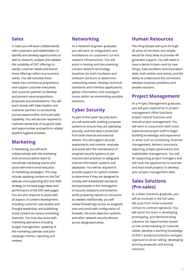#### **Sales**

In Sales you will work collaboratively with customers and stakeholders to identify and develop opportunities as well as research, analyse and validate the suitability of DXC offerings to satisfy customer needs and ensure those offerings reflect true business needs. You will translate those needs into commercial propositions and support customer executives and customer partners to develop and present value propositions, proposals and presentations. You will work closely with Sales leaders and customer partners to successfully pursue opportunities and build sales capability. You will also be required to maintain ownership of assigned tasks and opportunities and perform related pipeline hygiene activities.

#### **Marketing**

In Marketing, you will work collaboratively with the marketing and communications team to coordinate marketing events and assist with end-to-end execution of marketing campaigns. This may include updating content on the DXC website and supporting SEO and SEM strategy to increase page views and performance of the DXC web pages. You are also required to assist with all aspects of content development, including customer case studies and thought leadership, and publishing social content via various marketing channels. You may also assist with marketing operations including budget management, updating of the marketing calendar and postcampaign metrics, reporting and reviews.

#### **Networking**

As a Network Engineer graduate, you will work on integrations and installations on customers' current network infrastructure. You will assist in testing and documenting current network technology baselines for both hardware and software solutions to determine networking needs, develop technical standards and interface applications, gather information and investigate issues whilst recommending possible solutions.

## **Cyber Security**

As part of the Cyber Security team, you will assist with auditing computer systems to ensure they are operating securely, and that data is protected from both internal and external attacks. You will support security assessments and monitor, evaluate, and assist with the maintenance of assigned security systems as per industry best practices to safeguard internal information systems and databases. You will be required to provide support for system reviews to determine if they are designed to comply with established standards and participate in the investigation of security violations and breaches whilst preparing reports on intrusions as needed. Additionally, you will review firewall logs across an assigned area and assist with configuration of firewalls, intrusion detection systems, and other network security devices across designated areas.

#### **Human Resources**

The HR graduate will cycle through all areas of the team, but initially would be most likely to provide HR generalist support. You will need to have a desire to learn and try new things, have excellent communication skills, both written and verbal, and the ability to understand the connection between business problems and people solutions.

#### **Project Management**

As a Project Management graduate, you will gain experience in project management office functions, project control functions and overall project management. You will work in conjunction with more experienced project staff to begin building knowledge and experience in areas such as scheduling, financial management, delivery assurance, reporting, project governance and stakeholder management. You will be supporting project managers and will have the opportunity to oversee and lead small projects to develop your project management skills.

### **Sales Solutions (Pre-sales)**

As a Sales Solutions graduate, you will be involved in the full sales life cycle from initial customer contact to contract signature. You will assist the team in developing, prototyping, and demonstrating solutions for opportunities based on the understanding of customer needs, develop a working knowledge of DXC's products/solutions and gain exposure to direct selling, developing winning proposals and pricing solutions.